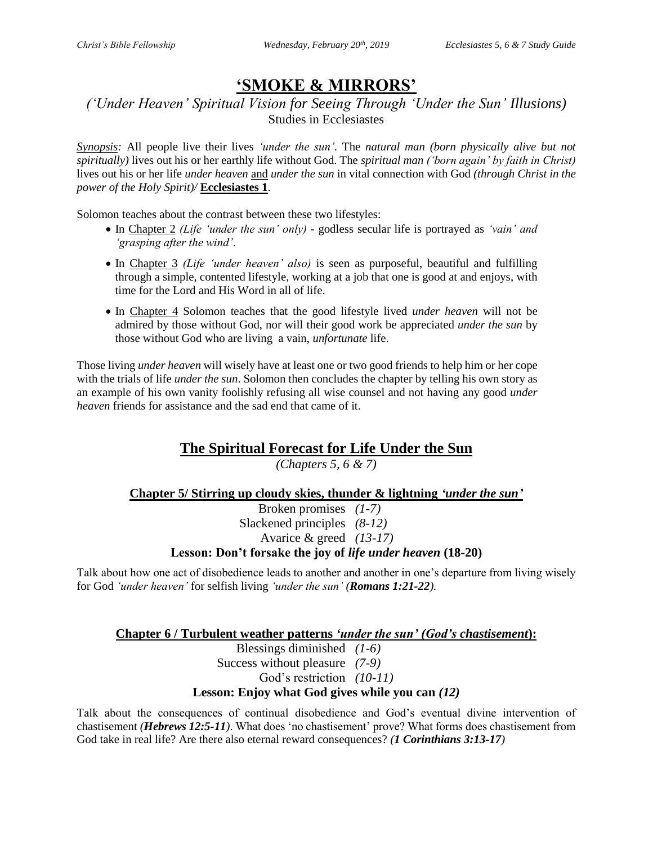# **'SMOKE & MIRRORS'**

### *('Under Heaven' Spiritual Vision for Seeing Through 'Under the Sun' Illusions)* Studies in Ecclesiastes

*Synopsis:* All people live their lives *'under the sun'*. The *natural man (born physically alive but not spiritually)* lives out his or her earthly life without God. The *spiritual man ('born again' by faith in Christ)* lives out his or her life *under heaven* and *under the sun* in vital connection with God *(through Christ in the power of the Holy Spirit)/* **Ecclesiastes 1**.

Solomon teaches about the contrast between these two lifestyles:

- In Chapter 2 *(Life 'under the sun' only)* godless secular life is portrayed as *'vain' and 'grasping after the wind'*.
- In Chapter 3 *(Life 'under heaven' also)* is seen as purposeful, beautiful and fulfilling through a simple, contented lifestyle, working at a job that one is good at and enjoys, with time for the Lord and His Word in all of life.
- In Chapter 4 Solomon teaches that the good lifestyle lived *under heaven* will not be admired by those without God, nor will their good work be appreciated *under the sun* by those without God who are living a vain, *unfortunate* life.

Those living *under heaven* will wisely have at least one or two good friends to help him or her cope with the trials of life *under the sun*. Solomon then concludes the chapter by telling his own story as an example of his own vanity foolishly refusing all wise counsel and not having any good *under heaven* friends for assistance and the sad end that came of it.

## **The Spiritual Forecast for Life Under the Sun**

*(Chapters 5, 6 & 7)*

#### **Chapter 5/ Stirring up cloudy skies, thunder & lightning** *'under the sun'*

Broken promises *(1-7)* Slackened principles *(8-12)* Avarice & greed *(13-17)*

#### **Lesson: Don't forsake the joy of** *life under heaven* **(18-20)**

Talk about how one act of disobedience leads to another and another in one's departure from living wisely for God *'under heaven'* for selfish living *'under the sun' (Romans 1:21-22).*

#### **Chapter 6 / Turbulent weather patterns** *'under the sun' (God's chastisement***):**

Blessings diminished *(1-6)*

Success without pleasure *(7-9)*

God's restriction *(10-11)*

#### **Lesson: Enjoy what God gives while you can** *(12)*

Talk about the consequences of continual disobedience and God's eventual divine intervention of chastisement *(Hebrews 12:5-11)*. What does 'no chastisement' prove? What forms does chastisement from God take in real life? Are there also eternal reward consequences? *(1 Corinthians 3:13-17)*